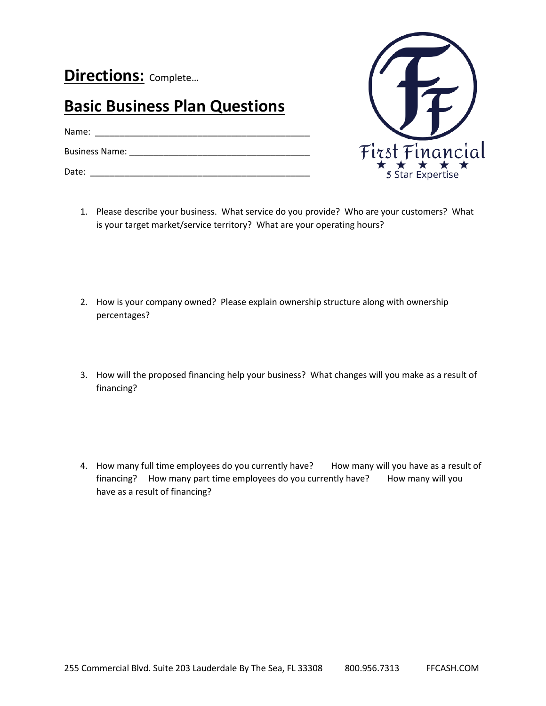**Directions:** Complete…

## **Basic Business Plan Questions**

Name: \_\_\_\_\_\_\_\_\_\_\_\_\_\_\_\_\_\_\_\_\_\_\_\_\_\_\_\_\_\_\_\_\_\_\_\_\_\_\_\_\_\_\_\_

Business Name: \_\_\_\_\_\_\_\_\_\_\_\_\_\_\_\_\_\_\_\_\_\_\_\_\_\_\_\_\_\_\_\_\_\_\_\_\_

Date: \_\_\_\_\_\_\_\_\_\_\_\_\_\_\_\_\_\_\_\_\_\_\_\_\_\_\_\_\_\_\_\_\_\_\_\_\_\_\_\_\_\_\_\_\_



- 1. Please describe your business. What service do you provide? Who are your customers? What is your target market/service territory? What are your operating hours?
- 2. How is your company owned? Please explain ownership structure along with ownership percentages?
- 3. How will the proposed financing help your business? What changes will you make as a result of financing?
- 4. How many full time employees do you currently have? How many will you have as a result of financing? How many part time employees do you currently have? How many will you have as a result of financing?